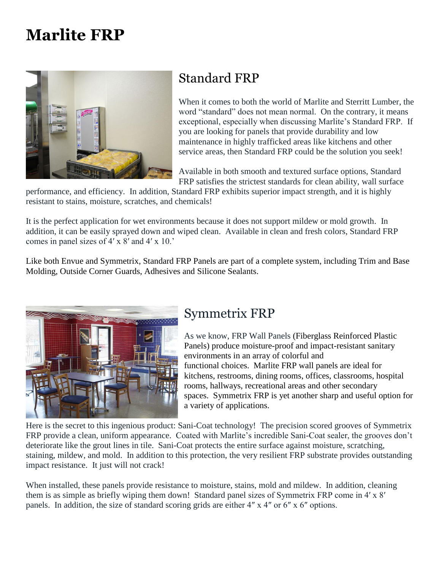# **Marlite FRP**



## Standard FRP

When it comes to both the world of Marlite and Sterritt Lumber, the word "standard" does not mean normal. On the contrary, it means exceptional, especially when discussing Marlite's Standard FRP. If you are looking for panels that provide durability and low maintenance in highly trafficked areas like kitchens and other service areas, then Standard FRP could be the solution you seek!

Available in both smooth and textured surface options, Standard FRP satisfies the strictest standards for clean ability, wall surface

performance, and efficiency. In addition, Standard FRP exhibits superior impact strength, and it is highly resistant to stains, moisture, scratches, and chemicals!

It is the perfect application for wet environments because it does not support mildew or mold growth. In addition, it can be easily sprayed down and wiped clean. Available in clean and fresh colors, Standard FRP comes in panel sizes of 4′ x 8′ and 4′ x 10.'

Like both Envue and Symmetrix, Standard FRP Panels are part of a complete system, including Trim and Base Molding, Outside Corner Guards, Adhesives and Silicone Sealants.



### Symmetrix FRP

As we know, FRP Wall Panels (Fiberglass Reinforced Plastic Panels) produce moisture-proof and impact-resistant sanitary environments in an array of colorful and functional choices. Marlite FRP wall panels are ideal for kitchens, restrooms, dining rooms, offices, classrooms, hospital rooms, hallways, recreational areas and other secondary spaces. Symmetrix FRP is yet another sharp and useful option for a variety of applications.

Here is the secret to this ingenious product: Sani-Coat technology! The precision scored grooves of Symmetrix FRP provide a clean, uniform appearance. Coated with Marlite's incredible Sani-Coat sealer, the grooves don't deteriorate like the grout lines in tile. Sani-Coat protects the entire surface against moisture, scratching, staining, mildew, and mold. In addition to this protection, the very resilient FRP substrate provides outstanding impact resistance. It just will not crack!

When installed, these panels provide resistance to moisture, stains, mold and mildew. In addition, cleaning them is as simple as briefly wiping them down! Standard panel sizes of Symmetrix FRP come in 4′ x 8′ panels. In addition, the size of standard scoring grids are either 4″ x 4″ or 6″ x 6″ options.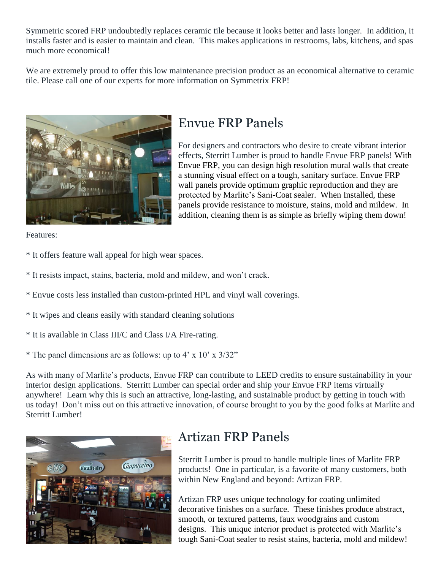Symmetric scored FRP undoubtedly replaces ceramic tile because it looks better and lasts longer. In addition, it installs faster and is easier to maintain and clean. This makes applications in restrooms, labs, kitchens, and spas much more economical!

We are extremely proud to offer this low maintenance precision product as an economical alternative to ceramic tile. Please call one of our experts for more information on Symmetrix FRP!



### Envue FRP Panels

For designers and contractors who desire to create vibrant interior effects, Sterritt Lumber is proud to handle Envue FRP panels! With Envue FRP, you can design high resolution mural walls that create a stunning visual effect on a tough, sanitary surface. Envue FRP wall panels provide optimum graphic reproduction and they are protected by Marlite's Sani-Coat sealer. When Installed, these panels provide resistance to moisture, stains, mold and mildew. In addition, cleaning them is as simple as briefly wiping them down!

Features:

- \* It offers feature wall appeal for high wear spaces.
- \* It resists impact, stains, bacteria, mold and mildew, and won't crack.
- \* Envue costs less installed than custom-printed HPL and vinyl wall coverings.
- \* It wipes and cleans easily with standard cleaning solutions
- \* It is available in Class III/C and Class I/A Fire-rating.
- \* The panel dimensions are as follows: up to  $4' \times 10' \times 3/32"$

As with many of Marlite's products, Envue FRP can contribute to LEED credits to ensure sustainability in your interior design applications. Sterritt Lumber can special order and ship your Envue FRP items virtually anywhere! Learn why this is such an attractive, long-lasting, and sustainable product by getting in touch with us today! Don't miss out on this attractive innovation, of course brought to you by the good folks at Marlite and Sterritt Lumber!



## Artizan FRP Panels

Sterritt Lumber is proud to handle multiple lines of Marlite FRP products! One in particular, is a favorite of many customers, both within New England and beyond: Artizan FRP.

Artizan FRP uses unique technology for coating unlimited decorative finishes on a surface. These finishes produce abstract, smooth, or textured patterns, faux woodgrains and custom designs. This unique interior product is protected with Marlite's tough Sani-Coat sealer to resist stains, bacteria, mold and mildew!